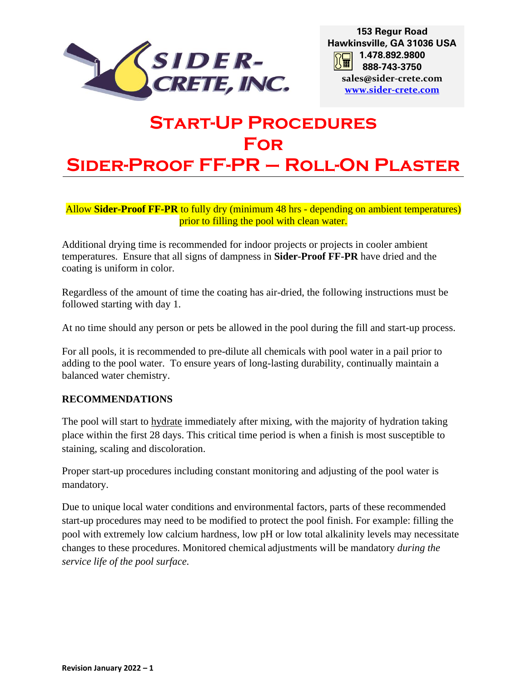

# **Start-Up Procedures For Sider-Proof FF-PR – Roll-On Plaster**

Allow **Sider-Proof FF-PR** to fully dry (minimum 48 hrs - depending on ambient temperatures) prior to filling the pool with clean water.

Additional drying time is recommended for indoor projects or projects in cooler ambient temperatures. Ensure that all signs of dampness in **Sider-Proof FF-PR** have dried and the coating is uniform in color.

Regardless of the amount of time the coating has air-dried, the following instructions must be followed starting with day 1.

At no time should any person or pets be allowed in the pool during the fill and start-up process.

For all pools, it is recommended to pre-dilute all chemicals with pool water in a pail prior to adding to the pool water. To ensure years of long-lasting durability, continually maintain a balanced water chemistry.

## **RECOMMENDATIONS**

The pool will start to hydrate immediately after mixing, with the majority of hydration taking place within the first 28 days. This critical time period is when a finish is most susceptible to staining, scaling and discoloration.

Proper start-up procedures including constant monitoring and adjusting of the pool water is mandatory.

Due to unique local water conditions and environmental factors, parts of these recommended start-up procedures may need to be modified to protect the pool finish. For example: filling the pool with extremely low calcium hardness, low pH or low total alkalinity levels may necessitate changes to these procedures. Monitored chemical adjustments will be mandatory *during the service life of the pool surface.*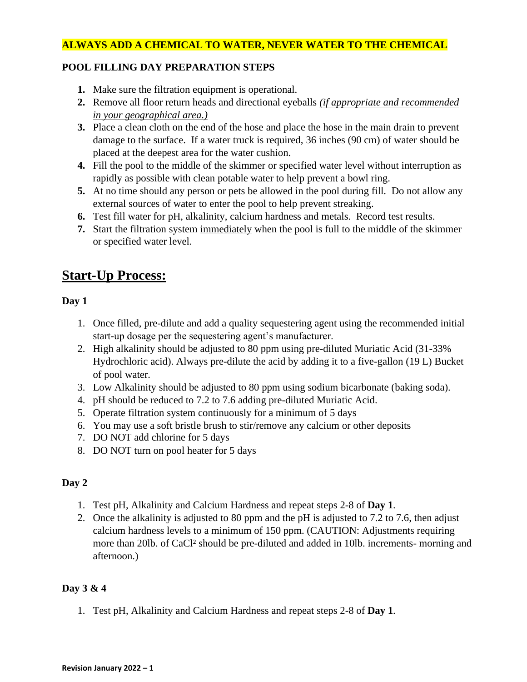## **ALWAYS ADD A CHEMICAL TO WATER, NEVER WATER TO THE CHEMICAL**

## **POOL FILLING DAY PREPARATION STEPS**

- **1.** Make sure the filtration equipment is operational.
- **2.** Remove all floor return heads and directional eyeballs *(if appropriate and recommended in your geographical area.)*
- **3.** Place a clean cloth on the end of the hose and place the hose in the main drain to prevent damage to the surface. If a water truck is required, 36 inches (90 cm) of water should be placed at the deepest area for the water cushion.
- **4.** Fill the pool to the middle of the skimmer or specified water level without interruption as rapidly as possible with clean potable water to help prevent a bowl ring.
- **5.** At no time should any person or pets be allowed in the pool during fill. Do not allow any external sources of water to enter the pool to help prevent streaking.
- **6.** Test fill water for pH, alkalinity, calcium hardness and metals. Record test results.
- **7.** Start the filtration system immediately when the pool is full to the middle of the skimmer or specified water level.

## **Start-Up Process:**

## **Day 1**

- 1. Once filled, pre-dilute and add a quality sequestering agent using the recommended initial start-up dosage per the sequestering agent's manufacturer.
- 2. High alkalinity should be adjusted to 80 ppm using pre-diluted Muriatic Acid (31-33% Hydrochloric acid). Always pre-dilute the acid by adding it to a five-gallon (19 L) Bucket of pool water.
- 3. Low Alkalinity should be adjusted to 80 ppm using sodium bicarbonate (baking soda).
- 4. pH should be reduced to 7.2 to 7.6 adding pre-diluted Muriatic Acid.
- 5. Operate filtration system continuously for a minimum of 5 days
- 6. You may use a soft bristle brush to stir/remove any calcium or other deposits
- 7. DO NOT add chlorine for 5 days
- 8. DO NOT turn on pool heater for 5 days

## **Day 2**

- 1. Test pH, Alkalinity and Calcium Hardness and repeat steps 2-8 of **Day 1**.
- 2. Once the alkalinity is adjusted to 80 ppm and the pH is adjusted to 7.2 to 7.6, then adjust calcium hardness levels to a minimum of 150 ppm. (CAUTION: Adjustments requiring more than 20lb. of CaCl² should be pre-diluted and added in 10lb. increments- morning and afternoon.)

## **Day 3 & 4**

1. Test pH, Alkalinity and Calcium Hardness and repeat steps 2-8 of **Day 1**.